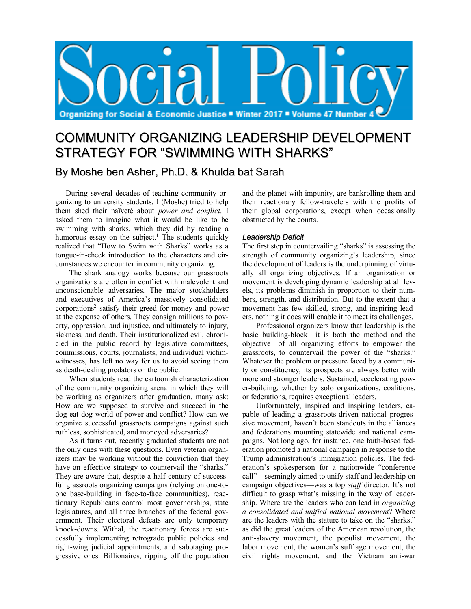

# COMMUNITY ORGANIZING LEADERSHIP DEVELOPMENT STRATEGY FOR "SWIMMING WITH SHARKS"

By Moshe ben Asher, Ph.D. & Khulda bat Sarah

During several decades of teaching community organizing to university students, I (Moshe) tried to help them shed their naïveté about *power and conflict*. I asked them to imagine what it would be like to be swimming with sharks, which they did by reading a humorous essay on the subject.<sup>1</sup> The students quickly realized that "How to Swim with Sharks" works as a tongue-in-cheek introduction to the characters and circumstances we encounter in community organizing.

The shark analogy works because our grassroots organizations are often in conflict with malevolent and unconscionable adversaries. The major stockholders and executives of America's massively consolidated corporations2 satisfy their greed for money and power at the expense of others. They consign millions to poverty, oppression, and injustice, and ultimately to injury, sickness, and death. Their institutionalized evil, chronicled in the public record by legislative committees, commissions, courts, journalists, and individual victimwitnesses, has left no way for us to avoid seeing them as death-dealing predators on the public.

When students read the cartoonish characterization of the community organizing arena in which they will be working as organizers after graduation, many ask: How are we supposed to survive and succeed in the dog-eat-dog world of power and conflict? How can we organize successful grassroots campaigns against such ruthless, sophisticated, and moneyed adversaries?

As it turns out, recently graduated students are not the only ones with these questions. Even veteran organizers may be working without the conviction that they have an effective strategy to countervail the "sharks." They are aware that, despite a half-century of successful grassroots organizing campaigns (relying on one-toone base-building in face-to-face communities), reactionary Republicans control most governorships, state legislatures, and all three branches of the federal government. Their electoral defeats are only temporary knock-downs. Withal, the reactionary forces are successfully implementing retrograde public policies and right-wing judicial appointments, and sabotaging progressive ones. Billionaires, ripping off the population and the planet with impunity, are bankrolling them and their reactionary fellow-travelers with the profits of their global corporations, except when occasionally obstructed by the courts.

## *Leadership Deficit*

The first step in countervailing "sharks" is assessing the strength of community organizing's leadership, since the development of leaders is the underpinning of virtually all organizing objectives. If an organization or movement is developing dynamic leadership at all levels, its problems diminish in proportion to their numbers, strength, and distribution. But to the extent that a movement has few skilled, strong, and inspiring leaders, nothing it does will enable it to meet its challenges.

Professional organizers know that leadership is the basic building-block—it is both the method and the objective—of all organizing efforts to empower the grassroots, to countervail the power of the "sharks." Whatever the problem or pressure faced by a community or constituency, its prospects are always better with more and stronger leaders. Sustained, accelerating power-building, whether by solo organizations, coalitions, or federations, requires exceptional leaders.

Unfortunately, inspired and inspiring leaders, capable of leading a grassroots-driven national progressive movement, haven't been standouts in the alliances and federations mounting statewide and national campaigns. Not long ago, for instance, one faith-based federation promoted a national campaign in response to the Trump administration's immigration policies. The federation's spokesperson for a nationwide "conference call"—seemingly aimed to unify staff and leadership on campaign objectives—was a top *staff* director. It's not difficult to grasp what's missing in the way of leadership. Where are the leaders who can lead in *organizing a consolidated and unified national movement*? Where are the leaders with the stature to take on the "sharks," as did the great leaders of the American revolution, the anti-slavery movement, the populist movement, the labor movement, the women's suffrage movement, the civil rights movement, and the Vietnam anti-war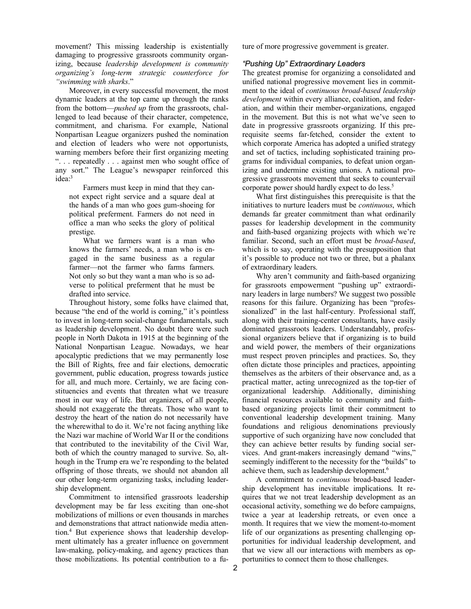movement? This missing leadership is existentially damaging to progressive grassroots community organizing, because *leadership development is community organizing's long-term strategic counterforce for "swimming with sharks*."

Moreover, in every successful movement, the most dynamic leaders at the top came up through the ranks from the bottom—*pushed up* from the grassroots, challenged to lead because of their character, competence, commitment, and charisma. For example, National Nonpartisan League organizers pushed the nomination and election of leaders who were not opportunists, warning members before their first organizing meeting ". . . repeatedly . . . against men who sought office of any sort." The League's newspaper reinforced this idea:3

Farmers must keep in mind that they cannot expect right service and a square deal at the hands of a man who goes gum-shoeing for political preferment. Farmers do not need in office a man who seeks the glory of political prestige.

What we farmers want is a man who knows the farmers' needs, a man who is engaged in the same business as a regular farmer—not the farmer who farms farmers. Not only so but they want a man who is so adverse to political preferment that he must be drafted into service.

Throughout history, some folks have claimed that, because "the end of the world is coming," it's pointless to invest in long-term social-change fundamentals, such as leadership development. No doubt there were such people in North Dakota in 1915 at the beginning of the National Nonpartisan League. Nowadays, we hear apocalyptic predictions that we may permanently lose the Bill of Rights, free and fair elections, democratic government, public education, progress towards justice for all, and much more. Certainly, we are facing constituencies and events that threaten what we treasure most in our way of life. But organizers, of all people, should not exaggerate the threats. Those who want to destroy the heart of the nation do not necessarily have the wherewithal to do it. We're not facing anything like the Nazi war machine of World War II or the conditions that contributed to the inevitability of the Civil War, both of which the country managed to survive. So, although in the Trump era we're responding to the belated offspring of those threats, we should not abandon all our other long-term organizing tasks, including leadership development.

Commitment to intensified grassroots leadership development may be far less exciting than one-shot mobilizations of millions or even thousands in marches and demonstrations that attract nationwide media attention.4 But experience shows that leadership development ultimately has a greater influence on government law-making, policy-making, and agency practices than those mobilizations. Its potential contribution to a future of more progressive government is greater.

#### *"Pushing Up" Extraordinary Leaders*

The greatest promise for organizing a consolidated and unified national progressive movement lies in commitment to the ideal of *continuous broad-based leadership development* within every alliance, coalition, and federation, and within their member-organizations, engaged in the movement. But this is not what we've seen to date in progressive grassroots organizing. If this prerequisite seems far-fetched, consider the extent to which corporate America has adopted a unified strategy and set of tactics, including sophisticated training programs for individual companies, to defeat union organizing and undermine existing unions. A national progressive grassroots movement that seeks to countervail corporate power should hardly expect to do less.<sup>5</sup>

What first distinguishes this prerequisite is that the initiatives to nurture leaders must be *continuous*, which demands far greater commitment than what ordinarily passes for leadership development in the community and faith-based organizing projects with which we're familiar. Second, such an effort must be *broad-based*, which is to say, operating with the presupposition that it's possible to produce not two or three, but a phalanx of extraordinary leaders.

Why aren't community and faith-based organizing for grassroots empowerment "pushing up" extraordinary leaders in large numbers? We suggest two possible reasons for this failure. Organizing has been "professionalized" in the last half-century. Professional staff, along with their training-center consultants, have easily dominated grassroots leaders. Understandably, professional organizers believe that if organizing is to build and wield power, the members of their organizations must respect proven principles and practices. So, they often dictate those principles and practices, appointing themselves as the arbiters of their observance and, as a practical matter, acting unrecognized as the top-tier of organizational leadership. Additionally, diminishing financial resources available to community and faithbased organizing projects limit their commitment to conventional leadership development training. Many foundations and religious denominations previously supportive of such organizing have now concluded that they can achieve better results by funding social services. And grant-makers increasingly demand "wins," seemingly indifferent to the necessity for the "builds" to achieve them, such as leadership development. 6

A commitment to *continuous* broad-based leadership development has inevitable implications. It requires that we not treat leadership development as an occasional activity, something we do before campaigns, twice a year at leadership retreats, or even once a month. It requires that we view the moment-to-moment life of our organizations as presenting challenging opportunities for individual leadership development, and that we view all our interactions with members as opportunities to connect them to those challenges.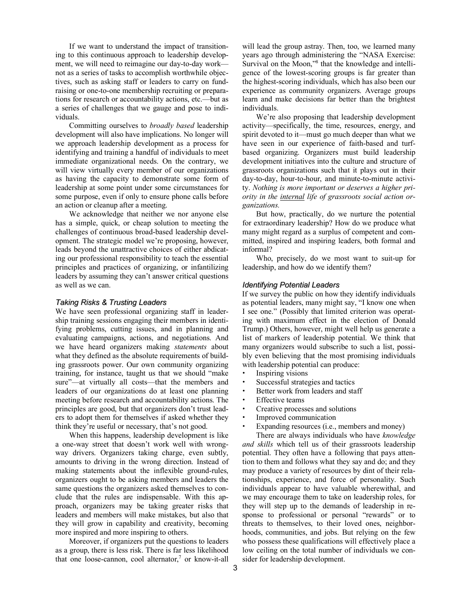If we want to understand the impact of transitioning to this continuous approach to leadership development, we will need to reimagine our day-to-day work not as a series of tasks to accomplish worthwhile objectives, such as asking staff or leaders to carry on fundraising or one-to-one membership recruiting or preparations for research or accountability actions, etc.—but as a series of challenges that we gauge and pose to individuals.

Committing ourselves to *broadly based* leadership development will also have implications. No longer will we approach leadership development as a process for identifying and training a handful of individuals to meet immediate organizational needs. On the contrary, we will view virtually every member of our organizations as having the capacity to demonstrate some form of leadership at some point under some circumstances for some purpose, even if only to ensure phone calls before an action or cleanup after a meeting.

We acknowledge that neither we nor anyone else has a simple, quick, or cheap solution to meeting the challenges of continuous broad-based leadership development. The strategic model we're proposing, however, leads beyond the unattractive choices of either abdicating our professional responsibility to teach the essential principles and practices of organizing, or infantilizing leaders by assuming they can't answer critical questions as well as we can.

#### *Taking Risks & Trusting Leaders*

We have seen professional organizing staff in leadership training sessions engaging their members in identifying problems, cutting issues, and in planning and evaluating campaigns, actions, and negotiations. And we have heard organizers making *statements* about what they defined as the absolute requirements of building grassroots power. Our own community organizing training, for instance, taught us that we should "make sure"—at virtually all costs—that the members and leaders of our organizations do at least one planning meeting before research and accountability actions. The principles are good, but that organizers don't trust leaders to adopt them for themselves if asked whether they think they're useful or necessary, that's not good.

When this happens, leadership development is like a one-way street that doesn't work well with wrongway drivers. Organizers taking charge, even subtly, amounts to driving in the wrong direction. Instead of making statements about the inflexible ground-rules, organizers ought to be asking members and leaders the same questions the organizers asked themselves to conclude that the rules are indispensable. With this approach, organizers may be taking greater risks that leaders and members will make mistakes, but also that they will grow in capability and creativity, becoming more inspired and more inspiring to others.

Moreover, if organizers put the questions to leaders as a group, there is less risk. There is far less likelihood that one loose-cannon, cool alternator, <sup>7</sup> or know-it-all

will lead the group astray. Then, too, we learned many years ago through administering the "NASA Exercise: Survival on the Moon,"<sup>8</sup> that the knowledge and intelligence of the lowest-scoring groups is far greater than the highest-scoring individuals, which has also been our experience as community organizers. Average groups learn and make decisions far better than the brightest individuals.

We're also proposing that leadership development activity—specifically, the time, resources, energy, and spirit devoted to it—must go much deeper than what we have seen in our experience of faith-based and turfbased organizing. Organizers must build leadership development initiatives into the culture and structure of grassroots organizations such that it plays out in their day-to-day, hour-to-hour, and minute-to-minute activity. *Nothing is more important or deserves a higher priority in the internal life of grassroots social action organizations.*

But how, practically, do we nurture the potential for extraordinary leadership? How do we produce what many might regard as a surplus of competent and committed, inspired and inspiring leaders, both formal and informal?

Who, precisely, do we most want to suit-up for leadership, and how do we identify them?

#### *Identifying Potential Leaders*

If we survey the public on how they identify individuals as potential leaders, many might say, "I know one when I see one." (Possibly that limited criterion was operating with maximum effect in the election of Donald Trump.) Others, however, might well help us generate a list of markers of leadership potential. We think that many organizers would subscribe to such a list, possibly even believing that the most promising individuals with leadership potential can produce:

- Inspiring visions
- Successful strategies and tactics
- Better work from leaders and staff
- **Effective teams**
- Creative processes and solutions
- Improved communication
- Expanding resources (i.e., members and money)

There are always individuals who have *knowledge and skills* which tell us of their grassroots leadership potential. They often have a following that pays attention to them and follows what they say and do; and they may produce a variety of resources by dint of their relationships, experience, and force of personality. Such individuals appear to have valuable wherewithal, and we may encourage them to take on leadership roles, for they will step up to the demands of leadership in response to professional or personal "rewards" or to threats to themselves, to their loved ones, neighborhoods, communities, and jobs. But relying on the few who possess these qualifications will effectively place a low ceiling on the total number of individuals we consider for leadership development.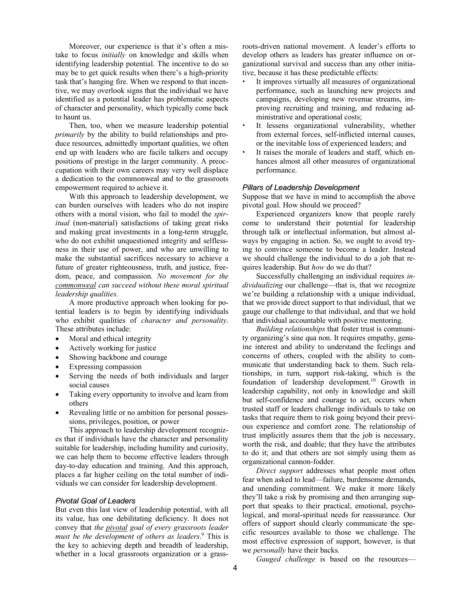Moreover, our experience is that it's often a mistake to focus *initially* on knowledge and skills when identifying leadership potential. The incentive to do so may be to get quick results when there's a high-priority task that's hanging fire. When we respond to that incentive, we may overlook signs that the individual we have identified as a potential leader has problematic aspects of character and personality, which typically come back to haunt us.

Then, too, when we measure leadership potential *primarily* by the ability to build relationships and produce resources, admittedly important qualities, we often end up with leaders who are facile talkers and occupy positions of prestige in the larger community. A preoccupation with their own careers may very well displace a dedication to the commonweal and to the grassroots empowerment required to achieve it.

With this approach to leadership development, we can burden ourselves with leaders who do not inspire others with a moral vision, who fail to model the *spiritual* (non-material) satisfactions of taking great risks and making great investments in a long-term struggle, who do not exhibit unquestioned integrity and selflessness in their use of power, and who are unwilling to make the substantial sacrifices necessary to achieve a future of greater righteousness, truth, and justice, freedom, peace, and compassion. *No movement for the commonweal can succeed without these moral spiritual leadership qualities*.

A more productive approach when looking for potential leaders is to begin by identifying individuals who exhibit qualities of *character and personality*. These attributes include:

- Moral and ethical integrity
- Actively working for justice
- Showing backbone and courage
- Expressing compassion
- Serving the needs of both individuals and larger social causes
- Taking every opportunity to involve and learn from others
- Revealing little or no ambition for personal possessions, privileges, position, or power

This approach to leadership development recognizes that if individuals have the character and personality suitable for leadership, including humility and curiosity, we can help them to become effective leaders through day-to-day education and training. And this approach, places a far higher ceiling on the total number of individuals we can consider for leadership development.

#### *Pivotal Goal of Leaders*

But even this last view of leadership potential, with all its value, has one debilitating deficiency. It does not convey that *the pivotal goal of every grassroots leader must be the development of others as leaders*. <sup>9</sup> This is the key to achieving depth and breadth of leadership, whether in a local grassroots organization or a grassroots-driven national movement. A leader's efforts to develop others as leaders has greater influence on organizational survival and success than any other initiative, because it has these predictable effects:

- It improves virtually all measures of organizational performance, such as launching new projects and campaigns, developing new revenue streams, improving recruiting and training, and reducing administrative and operational costs;
- It lessens organizational vulnerability, whether from external forces, self-inflicted internal causes, or the inevitable loss of experienced leaders; and
- It raises the morale of leaders and staff, which enhances almost all other measures of organizational performance.

#### *Pillars of Leadership Development*

Suppose that we have in mind to accomplish the above pivotal goal. How should we proceed?

Experienced organizers know that people rarely come to understand their potential for leadership through talk or intellectual information, but almost always by engaging in action. So, we ought to avoid trying to convince someone to become a leader. Instead we should challenge the individual to do a job that requires leadership. But *how* do we do that?

Successfully challenging an individual requires *individualizing* our challenge—that is, that we recognize we're building a relationship with a unique individual, that we provide direct support to that individual, that we gauge our challenge to that individual, and that we hold that individual accountable with positive mentoring.

*Building relationships* that foster trust is community organizing's sine qua non. It requires empathy, genuine interest and ability to understand the feelings and concerns of others, coupled with the ability to communicate that understanding back to them. Such relationships, in turn, support risk-taking, which is the foundation of leadership development. <sup>10</sup> Growth in leadership capability, not only in knowledge and skill but self-confidence and courage to act, occurs when trusted staff or leaders challenge individuals to take on tasks that require them to risk going beyond their previous experience and comfort zone. The relationship of trust implicitly assures them that the job is necessary, worth the risk, and doable; that they have the attributes to do it; and that others are not simply using them as organizational cannon-fodder.

*Direct support* addresses what people most often fear when asked to lead—failure, burdensome demands, and unending commitment. We make it more likely they'll take a risk by promising and then arranging support that speaks to their practical, emotional, psychological, and moral-spiritual needs for reassurance. Our offers of support should clearly communicate the specific resources available to those we challenge. The most effective expression of support, however, is that we *personally* have their backs.

*Gauged challenge* is based on the resources—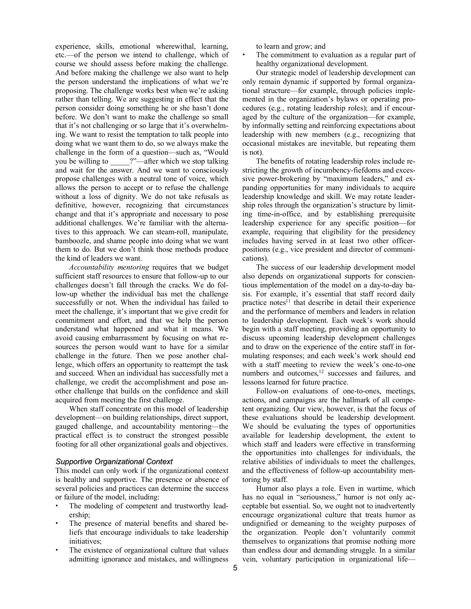experience, skills, emotional wherewithal, learning, etc.—of the person we intend to challenge, which of course we should assess before making the challenge. And before making the challenge we also want to help the person understand the implications of what we're proposing. The challenge works best when we're asking rather than telling. We are suggesting in effect that the person consider doing something he or she hasn't done before. We don't want to make the challenge so small that it's not challenging or so large that it's overwhelming. We want to resist the temptation to talk people into doing what we want them to do, so we always make the challenge in the form of a question—such as, "Would you be willing to  $\cdots$  ?"—after which we stop talking and wait for the answer. And we want to consciously propose challenges with a neutral tone of voice, which allows the person to accept or to refuse the challenge without a loss of dignity. We do not take refusals as definitive, however, recognizing that circumstances change and that it's appropriate and necessary to pose additional challenges. We're familiar with the alternatives to this approach. We can steam-roll, manipulate, bamboozle, and shame people into doing what we want them to do. But we don't think those methods produce the kind of leaders we want.

*Accountability mentoring* requires that we budget sufficient staff resources to ensure that follow-up to our challenges doesn't fall through the cracks. We do follow-up whether the individual has met the challenge successfully or not. When the individual has failed to meet the challenge, it's important that we give credit for commitment and effort, and that we help the person understand what happened and what it means. We avoid causing embarrassment by focusing on what resources the person would want to have for a similar challenge in the future. Then we pose another challenge, which offers an opportunity to reattempt the task and succeed. When an individual has successfully met a challenge, we credit the accomplishment and pose another challenge that builds on the confidence and skill acquired from meeting the first challenge.

When staff concentrate on this model of leadership development—on building relationships, direct support, gauged challenge, and accountability mentoring—the practical effect is to construct the strongest possible footing for all other organizational goals and objectives.

#### *Supportive Organizational Context*

This model can only work if the organizational context is healthy and supportive. The presence or absence of several policies and practices can determine the success or failure of the model, including:

- The modeling of competent and trustworthy leadership;
- The presence of material benefits and shared beliefs that encourage individuals to take leadership initiatives;
- The existence of organizational culture that values admitting ignorance and mistakes, and willingness

to learn and grow; and

The commitment to evaluation as a regular part of healthy organizational development.

Our strategic model of leadership development can only remain dynamic if supported by formal organizational structure—for example, through policies implemented in the organization's bylaws or operating procedures (e.g., rotating leadership roles); and if encouraged by the culture of the organization—for example, by informally setting and reinforcing expectations about leadership with new members (e.g., recognizing that occasional mistakes are inevitable, but repeating them is not).

The benefits of rotating leadership roles include restricting the growth of incumbency-fiefdoms and excessive power-brokering by "maximum leaders," and expanding opportunities for many individuals to acquire leadership knowledge and skill. We may rotate leadership roles through the organization's structure by limiting time-in-office, and by establishing prerequisite leadership experience for any specific position—for example, requiring that eligibility for the presidency includes having served in at least two other officerpositions (e.g., vice president and director of communications).

The success of our leadership development model also depends on organizational supports for conscientious implementation of the model on a day-to-day basis. For example, it's essential that staff record daily practice notes $11$  that describe in detail their experience and the performance of members and leaders in relation to leadership development. Each week's work should begin with a staff meeting, providing an opportunity to discuss upcoming leadership development challenges and to draw on the experience of the entire staff in formulating responses; and each week's work should end with a staff meeting to review the week's one-to-one numbers and outcomes,<sup>12</sup> successes and failures, and lessons learned for future practice.

Follow-on evaluations of one-to-ones, meetings, actions, and campaigns are the hallmark of all competent organizing. Our view, however, is that the focus of these evaluations should be leadership development. We should be evaluating the types of opportunities available for leadership development, the extent to which staff and leaders were effective in transforming the opportunities into challenges for individuals, the relative abilities of individuals to meet the challenges, and the effectiveness of follow-up accountability mentoring by staff.

Humor also plays a role. Even in wartime, which has no equal in "seriousness," humor is not only acceptable but essential. So, we ought not to inadvertently encourage organizational culture that treats humor as undignified or demeaning to the weighty purposes of the organization. People don't voluntarily commit themselves to organizations that promise nothing more than endless dour and demanding struggle. In a similar vein, voluntary participation in organizational life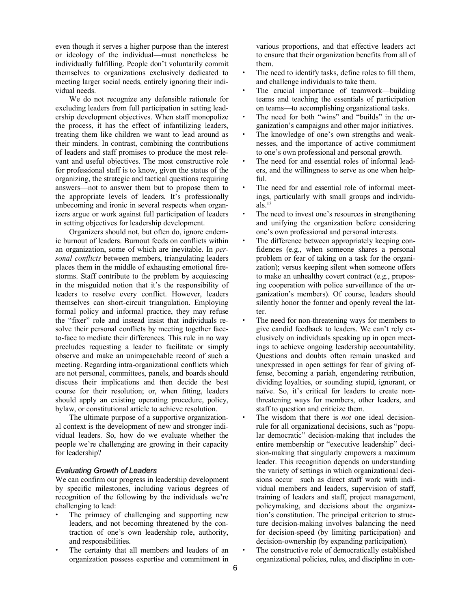even though it serves a higher purpose than the interest or ideology of the individual—must nonetheless be individually fulfilling. People don't voluntarily commit themselves to organizations exclusively dedicated to meeting larger social needs, entirely ignoring their individual needs.

We do not recognize any defensible rationale for excluding leaders from full participation in setting leadership development objectives. When staff monopolize the process, it has the effect of infantilizing leaders, treating them like children we want to lead around as their minders. In contrast, combining the contributions of leaders and staff promises to produce the most relevant and useful objectives. The most constructive role for professional staff is to know, given the status of the organizing, the strategic and tactical questions requiring answers—not to answer them but to propose them to the appropriate levels of leaders. It's professionally unbecoming and ironic in several respects when organizers argue or work against full participation of leaders in setting objectives for leadership development.

Organizers should not, but often do, ignore endemic burnout of leaders. Burnout feeds on conflicts within an organization, some of which are inevitable. In *personal conflicts* between members, triangulating leaders places them in the middle of exhausting emotional firestorms. Staff contribute to the problem by acquiescing in the misguided notion that it's the responsibility of leaders to resolve every conflict. However, leaders themselves can short-circuit triangulation. Employing formal policy and informal practice, they may refuse the "fixer" role and instead insist that individuals resolve their personal conflicts by meeting together faceto-face to mediate their differences. This rule in no way precludes requesting a leader to facilitate or simply observe and make an unimpeachable record of such a meeting. Regarding intra-organizational conflicts which are not personal, committees, panels, and boards should discuss their implications and then decide the best course for their resolution; or, when fitting, leaders should apply an existing operating procedure, policy, bylaw, or constitutional article to achieve resolution.

The ultimate purpose of a supportive organizational context is the development of new and stronger individual leaders. So, how do we evaluate whether the people we're challenging are growing in their capacity for leadership?

### *Evaluating Growth of Leaders*

We can confirm our progress in leadership development by specific milestones, including various degrees of recognition of the following by the individuals we're challenging to lead:

- The primacy of challenging and supporting new leaders, and not becoming threatened by the contraction of one's own leadership role, authority, and responsibilities.
- The certainty that all members and leaders of an organization possess expertise and commitment in

various proportions, and that effective leaders act to ensure that their organization benefits from all of them.

- The need to identify tasks, define roles to fill them, and challenge individuals to take them.
- The crucial importance of teamwork—building teams and teaching the essentials of participation on teams—to accomplishing organizational tasks.
- The need for both "wins" and "builds" in the organization's campaigns and other major initiatives.
- The knowledge of one's own strengths and weaknesses, and the importance of active commitment to one's own professional and personal growth.
- The need for and essential roles of informal leaders, and the willingness to serve as one when helpful.
- The need for and essential role of informal meetings, particularly with small groups and individuals. $^{13}$
- The need to invest one's resources in strengthening and unifying the organization before considering one's own professional and personal interests.
- The difference between appropriately keeping confidences (e.g., when someone shares a personal problem or fear of taking on a task for the organization); versus keeping silent when someone offers to make an unhealthy covert contract (e.g., proposing cooperation with police surveillance of the organization's members). Of course, leaders should silently honor the former and openly reveal the latter.
- The need for non-threatening ways for members to give candid feedback to leaders. We can't rely exclusively on individuals speaking up in open meetings to achieve ongoing leadership accountability. Questions and doubts often remain unasked and unexpressed in open settings for fear of giving offense, becoming a pariah, engendering retribution, dividing loyalties, or sounding stupid, ignorant, or naïve. So, it's critical for leaders to create nonthreatening ways for members, other leaders, and staff to question and criticize them.
- The wisdom that there is *not* one ideal decisionrule for all organizational decisions, such as "popular democratic" decision-making that includes the entire membership or "executive leadership" decision-making that singularly empowers a maximum leader. This recognition depends on understanding the variety of settings in which organizational decisions occur—such as direct staff work with individual members and leaders, supervision of staff, training of leaders and staff, project management, policymaking, and decisions about the organization's constitution. The principal criterion to structure decision-making involves balancing the need for decision-speed (by limiting participation) and decision-ownership (by expanding participation).
- The constructive role of democratically established organizational policies, rules, and discipline in con-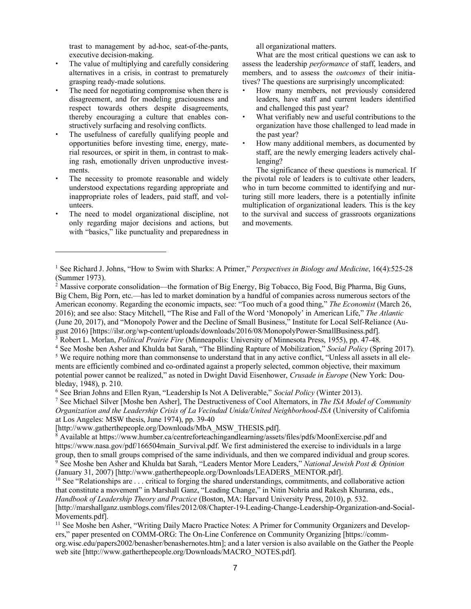trast to management by ad-hoc, seat-of-the-pants, executive decision-making.

- The value of multiplying and carefully considering alternatives in a crisis, in contrast to prematurely grasping ready-made solutions.
- The need for negotiating compromise when there is disagreement, and for modeling graciousness and respect towards others despite disagreements, thereby encouraging a culture that enables constructively surfacing and resolving conflicts.
- The usefulness of carefully qualifying people and opportunities before investing time, energy, material resources, or spirit in them, in contrast to making rash, emotionally driven unproductive investments.
- The necessity to promote reasonable and widely understood expectations regarding appropriate and inappropriate roles of leaders, paid staff, and volunteers.
- The need to model organizational discipline, not only regarding major decisions and actions, but with "basics," like punctuality and preparedness in

 $\overline{a}$ 

all organizational matters.

What are the most critical questions we can ask to assess the leadership *performance* of staff, leaders, and members, and to assess the *outcomes* of their initiatives? The questions are surprisingly uncomplicated:

- How many members, not previously considered leaders, have staff and current leaders identified and challenged this past year?
- What verifiably new and useful contributions to the organization have those challenged to lead made in the past year?
- How many additional members, as documented by staff, are the newly emerging leaders actively challenging?

The significance of these questions is numerical. If the pivotal role of leaders is to cultivate other leaders, who in turn become committed to identifying and nurturing still more leaders, there is a potentially infinite multiplication of organizational leaders. This is the key to the survival and success of grassroots organizations and movements.

<sup>1</sup> See Richard J. Johns, "How to Swim with Sharks: A Primer," *Perspectives in Biology and Medicine*, 16(4):525-28 (Summer 1973).

<sup>2</sup> Massive corporate consolidation—the formation of Big Energy, Big Tobacco, Big Food, Big Pharma, Big Guns, Big Chem, Big Porn, etc.—has led to market domination by a handful of companies across numerous sectors of the American economy. Regarding the economic impacts, see: "Too much of a good thing," *The Economist* (March 26, 2016); and see also: Stacy Mitchell, "The Rise and Fall of the Word 'Monopoly' in American Life," *The Atlantic* (June 20, 2017), and "Monopoly Power and the Decline of Small Business," Institute for Local Self-Reliance (August 2016) [https://ilsr.org/wp-content/uploads/downloads/2016/08/MonopolyPower-SmallBusiness.pdf].

<sup>3</sup> Robert L. Morlan, *Political Prairie Fire* (Minneapolis: University of Minnesota Press, 1955), pp. 47-48.

<sup>4</sup> See Moshe ben Asher and Khulda bat Sarah, "The Blinding Rapture of Mobilization," *Social Policy* (Spring 2017).

<sup>&</sup>lt;sup>5</sup> We require nothing more than commonsense to understand that in any active conflict, "Unless all assets in all elements are efficiently combined and co-ordinated against a properly selected, common objective, their maximum potential power cannot be realized," as noted in Dwight David Eisenhower, *Crusade in Europe* (New York: Doubleday, 1948), p. 210.

<sup>6</sup> See Brian Johns and Ellen Ryan, "Leadership Is Not A Deliverable," *Social Policy* (Winter 2013).

<sup>7</sup> See Michael Silver [Moshe ben Asher], The Destructiveness of Cool Alternators, in *The ISA Model of Community Organization and the Leadership Crisis of La Vecindad Unida/United Neighborhood-ISA* (University of California at Los Angeles: MSW thesis, June 1974), pp. 39-40

<sup>[</sup>http://www.gatherthepeople.org/Downloads/MbA\_MSW\_THESIS.pdf].

 $\overline{8}$  Available at https://www.humber.ca/centreforteachingandlearning/assets/files/pdfs/MoonExercise.pdf and https://www.nasa.gov/pdf/166504main\_Survival.pdf. We first administered the exercise to individuals in a large group, then to small groups comprised of the same individuals, and then we compared individual and group scores. <sup>9</sup> See Moshe ben Asher and Khulda bat Sarah, "Leaders Mentor More Leaders," *National Jewish Post & Opinion* (January 31, 2007) [http://www.gatherthepeople.org/Downloads/LEADERS\_MENTOR.pdf].

 $10$  See "Relationships are  $\ldots$  critical to forging the shared understandings, commitments, and collaborative action that constitute a movement" in Marshall Ganz, "Leading Change," in Nitin Nohria and Rakesh Khurana, eds., *Handbook of Leadership Theory and Practice* (Boston, MA: Harvard University Press, 2010), p. 532. [http://marshallganz.usmblogs.com/files/2012/08/Chapter-19-Leading-Change-Leadership-Organization-and-Social-Movements.pdf].

<sup>&</sup>lt;sup>11</sup> See Moshe ben Asher, "Writing Daily Macro Practice Notes: A Primer for Community Organizers and Developers," paper presented on COMM-ORG: The On-Line Conference on Community Organizing [https://commorg.wisc.edu/papers2002/benasher/benashernotes.htm]; and a later version is also available on the Gather the People web site [http://www.gatherthepeople.org/Downloads/MACRO\_NOTES.pdf].